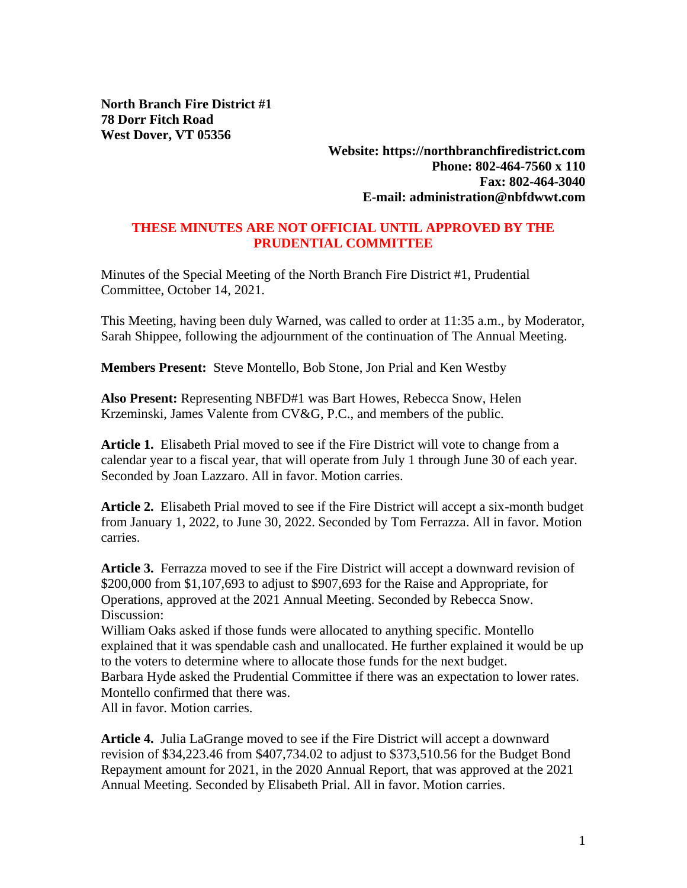**North Branch Fire District #1 78 Dorr Fitch Road West Dover, VT 05356**

> **Website: https://northbranchfiredistrict.com Phone: 802-464-7560 x 110 Fax: 802-464-3040 E-mail: administration@nbfdwwt.com**

## **THESE MINUTES ARE NOT OFFICIAL UNTIL APPROVED BY THE PRUDENTIAL COMMITTEE**

Minutes of the Special Meeting of the North Branch Fire District #1, Prudential Committee, October 14, 2021.

This Meeting, having been duly Warned, was called to order at 11:35 a.m., by Moderator, Sarah Shippee, following the adjournment of the continuation of The Annual Meeting.

**Members Present:** Steve Montello, Bob Stone, Jon Prial and Ken Westby

**Also Present:** Representing NBFD#1 was Bart Howes, Rebecca Snow, Helen Krzeminski, James Valente from CV&G, P.C., and members of the public.

**Article 1.** Elisabeth Prial moved to see if the Fire District will vote to change from a calendar year to a fiscal year, that will operate from July 1 through June 30 of each year. Seconded by Joan Lazzaro. All in favor. Motion carries.

**Article 2.** Elisabeth Prial moved to see if the Fire District will accept a six-month budget from January 1, 2022, to June 30, 2022. Seconded by Tom Ferrazza. All in favor. Motion carries.

**Article 3.** Ferrazza moved to see if the Fire District will accept a downward revision of \$200,000 from \$1,107,693 to adjust to \$907,693 for the Raise and Appropriate, for Operations, approved at the 2021 Annual Meeting. Seconded by Rebecca Snow. Discussion:

William Oaks asked if those funds were allocated to anything specific. Montello explained that it was spendable cash and unallocated. He further explained it would be up to the voters to determine where to allocate those funds for the next budget. Barbara Hyde asked the Prudential Committee if there was an expectation to lower rates. Montello confirmed that there was.

All in favor. Motion carries.

**Article 4.** Julia LaGrange moved to see if the Fire District will accept a downward revision of \$34,223.46 from \$407,734.02 to adjust to \$373,510.56 for the Budget Bond Repayment amount for 2021, in the 2020 Annual Report, that was approved at the 2021 Annual Meeting. Seconded by Elisabeth Prial. All in favor. Motion carries.